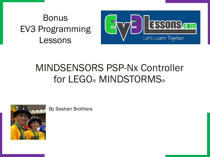#### Bonus EV3 Programming Lessons



#### MINDSENSORS PSP-Nx Controller for LEGO<sup>®</sup> MINDSTORMS<sup>®</sup>



By Seshan Brothers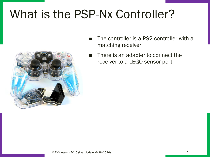## What is the PSP-Nx Controller?



- The controller is a PS2 controller with a matching receiver
- There is an adapter to connect the receiver to a LEGO sensor port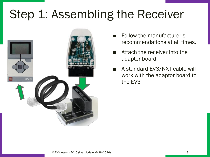# Step 1: Assembling the Receiver



- Follow the manufacturer's recommendations at all times.
- Attach the receiver into the adapter board
- A standard EV3/NXT cable will work with the adaptor board to the EV3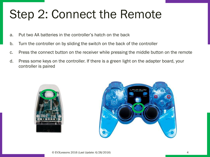# Step 2: Connect the Remote

- a. Put two AA batteries in the controller's hatch on the back
- b. Turn the controller on by sliding the switch on the back of the controller
- c. Press the connect button on the receiver while pressing the middle button on the remote
- d. Press some keys on the controller. If there is a green light on the adapter board, your controller is paired



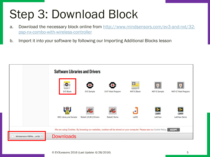# Step 3: Download Block

- a. [Download the necessary block online from http://www.mindsensors.com/ev3-and-nxt/32](http://www.mindsensors.com/ev3-and-nxt/32-psp-nx-combo-with-wireless-controller) psp-nx-combo-with-wireless-controller
- b. Import it into your software by following our Importing Additional Blocks lesson

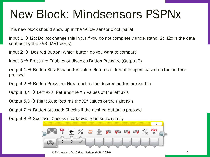## New Block: Mindsensors PSPNx

This new block should show up in the Yellow sensor block pallet

Input  $1 \rightarrow$  i2c: Do not change this input if you do not completely understand i2c (i2c is the data sent out by the EV3 UART ports)

Input  $2 \rightarrow$  Desired Button: Which button do you want to compare

Input  $3 \rightarrow$  Pressure: Enables or disables Button Pressure (Output 2)

Output 1  $\rightarrow$  Button Bits: Raw button value. Returns different integers based on the buttons pressed

Output  $2 \rightarrow$  Button Pressure: How much is the desired button pressed in

Output 3,4  $\rightarrow$  Left Axis: Returns the X,Y values of the left axis

Output 5,6  $\rightarrow$  Right Axis: Returns the X,Y values of the right axis

Output  $7 \rightarrow$  Button pressed: Checks if the desired button is pressed

Output  $8 \rightarrow$  Success: Checks if data was read successfully

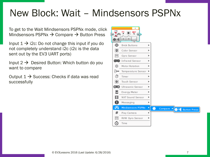#### New Block: Wait – Mindsensors PSPNx

To get to the Wait Mindsensors PSPNx mode, click Mindsensors PSPNx  $\rightarrow$  Compare  $\rightarrow$  Button Press

Input  $1 \rightarrow i2c$ : Do not change this input if you do not completely understand i2c (i2c is the data sent out by the EV3 UART ports)

Input  $2 \rightarrow$  Desired Button: Which button do you want to compare

Output  $1 \rightarrow$  Success: Checks if data was read successfully

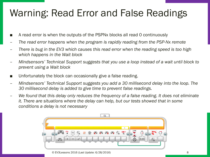### Warning: Read Error and False Readings

- A read error is when the outputs of the PSPNx blocks all read 0 continuously
- *The read error happens when the program is rapidly reading from the PSP-Nx remote*
- *There is bug in the EV3 which causes this read error when the reading speed is too high which happens in the Wait block*
- *Mindsensors' Technical Support suggests that you use a loop instead of a wait until block to prevent using a Wait block*
- Unfortunately the block can occasionally give a false reading.
- *Mindsensors' Technical Support suggests you add a 30 millisecond delay into the loop. The 30 millisecond delay is added to give time to prevent false readings.*
- *We found that this delay only reduces the frequency of a false reading. It does not eliminate it. There are situations where the delay can help, but our tests showed that in some conditions a delay is not necessary*



© EV3Lessons 2016 (Last Update: 6/28/2016) 8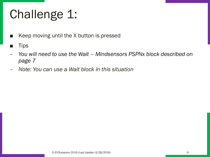# Challenge 1:

- Keep moving until the X button is pressed
- **Tips**
- *You will need to use the Wait – Mindsensors PSPNx block described on page 7*
- *Note: You can use a Wait block in this situation*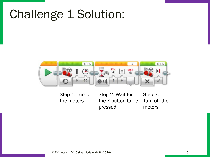## Challenge 1 Solution:



Step 1: Turn on the motors Step 2: Wait for the X button to be pressed Step 3: Turn off the motors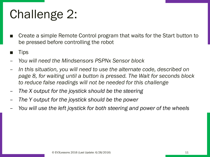# Challenge 2:

- Create a simple Remote Control program that waits for the Start button to be pressed before controlling the robot
- **Tips**
- *You will need the Mindsensors PSPNx Sensor block*
- *In this situation, you will need to use the alternate code, described on page 8, for waiting until a button is pressed. The Wait for seconds block to reduce false readings will not be needed for this challenge*
- *The X output for the joystick should be the steering*
- *The Y output for the joystick should be the power*
- *You will use the left joystick for both steering and power of the wheels*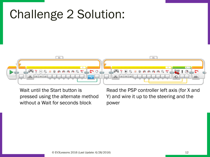#### Challenge 2 Solution:  $01$  $01$  $\bullet$ .  $\frac{12c}{\pi}$ **PRAXXADD**O  $\leftarrow$  $\ensuremath{\mathfrak{Im}}$  $\frac{1}{\chi}$  $\frac{6}{3}$  $\sqrt{2}$  $\frac{1}{x}$  $f$  $\Theta$  $\blacksquare$ တ

Wait until the Start button is pressed using the alternate method without a Wait for seconds block

Read the PSP controller left axis (for X and Y) and wire it up to the steering and the power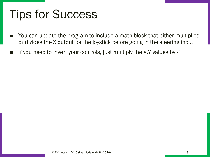## Tips for Success

- You can update the program to include a math block that either multiplies or divides the X output for the joystick before going in the steering input
- If you need to invert your controls, just multiply the X,Y values by  $-1$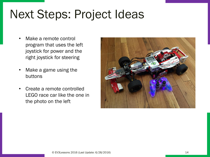## Next Steps: Project Ideas

- Make a remote control program that uses the left joystick for power and the right joystick for steering
- Make a game using the buttons
- Create a remote controlled LEGO race car like the one in the photo on the left